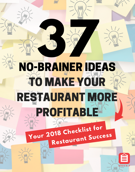## NO-**32 MINERAL PRAIR** BRAIN **7** ER IDEAS **TO MAKE YOU** RESTAURANT MORE ROFITABLI

# **Restauran<sup>t</sup> Success Your <sup>2018</sup> Checklist for**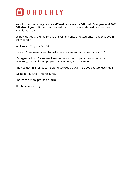

We all know the damaging stats. **60% of restaurants fail their first year and 80%** fail after 4 years. But you've survived... and maybe even thrived. And you want to keep it that way.

So how do you avoid the pitfalls the vast majority of restaurants make that doom them to fail?

Well, we've got you covered.

Here's 37 no-brainer ideas to make your restaurant more profitable in 2018.

It's organized into 6 easy-to-digest sections around operations, accounting, inventory, hospitality, employee management, and marketing.

And you got links. Links to helpful resources that will help you execute each idea.

We hope you enjoy this resource.

Cheers to a more profitable 2018!

The Team at Orderly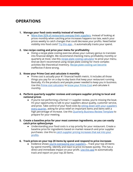## **OPERATIONS**

#### **1. Manage your food costs weekly instead of monthly**

● More than 92% of [restaurants](http://info.getorderly.com/blog/analyzed-restaurant-supplier-purchases-oct-rfi) overpay their suppliers. Instead of looking at prices monthly when catching price increases happens too late, watch your prices weekly to catch changes that could decrease your profits. Need better visibility into food costs? Try this [app](http://info.getorderly.com/theorderlyapp)... it automatically tracks your spend.

#### **2. Use recipe costing and price your menu for profitability**

Doing a recipe plate costing exercise allows your culinary genius to translate into financial delight. We recommend checking menu profitability monthly or quarterly at most. Use this recipe plate costing [calculator](http://info.getorderly.com/recipe-plate-costing-calculator) to price your menu. And we don't recommend using recipe plate costing for more complex activities like theoretical inventory. Recipe plate costing can [become](http://info.getorderly.com/blog/recipe-plate-costing-ineffective) ineffective if done wrong.

#### **3. Know your Prime Cost and calculate it monthly**

● Prime cost is actually your #1 financial health metric. It includes all those things you pay for on a day-to-day basis that keep your restaurant running. Basically, it's the products and people power needed to keep you in business. Use this Prime cost [calculator](http://info.getorderly.com/prime-cost-calculator) to know your [Prime](http://info.getorderly.com/blog/the-complete-guide-to-prime-cost) Cost and calculate it monthly.

#### **4. Perform quarterly supplier reviews and compare supplier pricing to local and national prices**

● If you're not performing a formal 1:1 supplier review, you're missing the boat. It's your opportunity to talk to your suppliers about quality, customer service, and price. Take control of your food costs by sitting down with your [suppliers](http://info.getorderly.com/blog/supplier-review) every [quarter](http://info.getorderly.com/blog/supplier-review), asking for price relief on important items and items with a high percentage of increase. Use this [Quarterly](http://info.getorderly.com/quarterly-business-review-template) Business Review Template to prepare for your meeting.

#### **5. Create a baseline price for your most common ingredients, so you can easily catch price spikes/jumps**

● Understanding your food costs is a top priority for your restaurant. Create a baseline price for ingredients based on market research and prior supplier purchases. Use this to catch supplier pricing [increases](http://info.getorderly.com/blog/restaurants-pay-86-percent-more) that eat into your [profits.](http://info.getorderly.com/blog/restaurants-pay-86-percent-more)

#### **6. Track prices on your top 20 items by spend and respond to price increases**

• Evidence shows you're [overpaying](http://info.getorderly.com/blog/ugly-truth-supplier-pricing) your suppliers... Track your top 20 items by spend monthly. Identify and react to price increases quickly. This has a direct and immediate impact on your profit. Use this [app](http://info.getorderly.com/theorderlyapp) to automatically track and report on your top 20 items.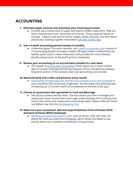## **ACCOUNTING**

#### **7. Eliminate paper invoices and automate your invoicing processes**

● Invoices are a messy stack of paper and lead to endless data entry. They are also a massive time suck. Automate the process. Throw away the boxes of invoices. Capture and record invoice images, dollar amounts, line item detail, and all your existing supplier information with the [Orderly](http://info.getorderly.com/theorderlyapp) App.

#### **8. Use a 4-week accounting period instead of monthly**

• Unlike the typical 12-month calendar, the 4-week [accounting](http://rrgconsulting.com/4_week_accounting_periods.htm) cycle consists of 13 accounting periods of exactly 4 weeks (28 days), which complements the weekly cycles used in many restaurants and provides for more relevant period comparisons on the profit and loss statement.

#### **9. Review your accounting on an accrual basis instead of a cash basis**

The upside of accrual basis [accounting](https://bench.co/syllabus/accounting/cash-accounting-vs-accrual-accounting/) is that it gives you a more realistic idea of income and expenses during a period of time, therefore providing a long-term picture of the business that cash accounting can't provide.

#### **10. Reconcile bank and credit card balances every month**

● [Reconciling](https://kaufmanrossin.com/blog/quickbooks-tip-reconcile-your-company-credit-card-charges-monthly/) monthly balances ensures that common errors are corrected in your company's file as the year progresses. No one enjoys the daunting task of cleaning up 12 months' worth of transactions at the end of the year.

#### **11. Choose an accountant who specializes in Food and Beverage**

● Not all accountants are the same. The accountant you hire to manage your restaurant's book should have a thorough understanding of the industry and how to best serve your restaurant's accounting needs. Need a referral? Check out William Lee, he's the [Bookkeeping](https://bookkeepingchef.com/?utm_source=getorderly.com&utm_content=getorderly.com) Chef.

#### **12. Make sure your accountant allocates payroll between front-of-house (FOH) and back-of-house (BOH) employees**

● [Breaking](https://insightaccounting.online/restaurant-accounting/) out payroll by specific roles, such as server, chef, line cook, etc. allows for more accurate record keeping, which allows the ability to see exactly where your business is profiting or losing money.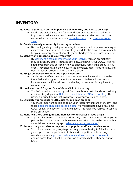## **INVENTORY**

#### **13. Educate your staff on the importance of inventory and how to do it right**

● Food costs typically account for around 30% of a restaurant's budget. It's important to educate your staff on why inventory is taken and the correct way to take count, whether that's [through](http://info.getorderly.com/theorderlyapp) an app or an [inventory](http://info.getorderly.com/inventory-count-sheet) count [sheet](http://info.getorderly.com/inventory-count-sheet).

#### **14. Create a weekly or monthly inventory schedule**

● By creating a daily, weekly, or monthly inventory schedule, you're creating an expectation for your team. An inventory schedule also creates accountability for your inventory team: all inventory and shortages must be accounted for.

#### **15. Identify one person to be your 'receiver'**

● By [identifying](http://info.getorderly.com/blog/restaurant-inventory-hacks) a team member to be your receiver, you can dramatically reduce inventory errors, increase efficiency, and lower your COGS. Not only should you train this person on how to effectively receive the products you order, they should also know how to code invoices, mark items missing, and how to redirect ordering when there are errors.

#### **16. Assign employees to count and input inventory**

● Similar to identifying one person as a receiver, employees should also be identified and assigned to your inventory team. Each employee on your inventory team will be held accountable by your receiver for any inventory count errors.

#### **17. Hold less than 1.5x your Cost of Goods Sold in inventory**

● The FnB industry is cash-strapped. You must have a solid handle on ordering and [inventory](http://info.getorderly.com/blog/restaurant-inventory-hacks) depletion. Hold less than 1.5x your COGs in inventory. The upsides include freeing that inventory up to improve your cash flow.

#### **18. Calculate your inventory COGS, usage, and days on hand**

● You make important decisions about your restaurant's future every day—and those [decisions](http://info.getorderly.com/blog/spreadsheets-arent-restaurant-inventory-software) should be based on data. It's important to have a real-time COGS, usage, and days on hand calculation. This helps you run your business more efficiently.

#### **19. Identify if there are significant increases or decreases in food usage**

● Suppliers increase and decrease prices daily. Keep track of what prices you've paid in the past and compare those to market price. This can be done with a spreadsheet or inventory app. What are you [overpaying](http://fo.getorderly.com/orderly-app-benchmark-pricing) for?

#### **20. Perform daily spot checks on your most popular and/or expensive items**

● Spot checks are an easy way to proactively prevent having to 86 a dish or tell your loyal customer you're out of his favorite appetizer. In between your weekly inventories, [perform](http://info.getorderly.com/blog/inventory-field-guide) daily spot checks on your most popular items and prepared foods. It will help you stop shortages before they get out of hand.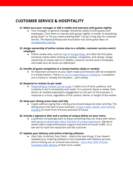## **CUSTOMER SERVICE & HOSPITALITY**

#### **21. Make sure your manager or GM is visible and interacts with guests nightly**

● Your manager or general manager should be visible to both guests and employees. Train them to interact with guests nightly. A simple "Is everything going okay?" or "Do you need anything else?" can go a long way for customer service. The National Restaurant Association has some great ideas on [management](http://www.restaurant.org/Manage-My-Restaurant/Workforce-Management/Training) training.

#### **22. Assign ownership of online review sites to a reliable, customer service-centric employee**

• Online review sites, such as [Yelp](https://www.yelp.com/) or [Google](https://www.google.com/maps) Maps, are often the first place someone checks when looking at reviews, complaints, and ratings. Assign ownership of review sites to a reliable, customer service-centric employee and make sure all issues are addressed.

#### **23. Handle all guest complaints in a timely fashion (daily or weekly)**

● It's important someone on your team reads and interacts with all complaints in a timely fashion. There's an 'art' to [responding](http://www.restaurant.org/Manage-My-Restaurant/Workforce-Management/Training/The-art-of-handling-guest-complaints) to complaints. Complaints are a chance to remedy the situation… use it wisely.

#### **24. Respond to reviews 3x per week**

● [Responding](https://www.reviewtrackers.com/respond-every-review/) to reviews can be tough. It takes a lot of work, patience, and creativity to do it consistently each week. If a customer leaves a review, then there's an implied expectation engagement on the part of the business. A response is a must, regardless of the content, theme, or length of the review.

#### **25. Keep your dining areas clean and tidy**

● It goes without saying that a dining area should always be clean and tidy. The dining area is the face of your business. Create a daily, weekly, and [monthly](https://www.webstaurantstore.com/article/153/restaurant-cleaning-checklist.html) [checklist](https://www.webstaurantstore.com/article/153/restaurant-cleaning-checklist.html) for both front of house and back of house.

#### **26. Include a signature dish and a variety of unique dishes on your menu**

Customers increasingly want to enjoy something they can share with others, and signature dishes give them that kind of unique [experience.](https://www.gourmetmarketing.net/the-promotional-power-of-a-signature-dish/) Signature dishes often create enthusiastic support and word-of-mouth traffic. It's a win-win for both the restaurant and the customer.

#### **27. Update your delivery and online ordering software**

● Uber Eats, GrubHub, Door Dash… they're the new things. If you haven't updated your ordering software to be compatible with delivery services, you're missing out on a brand new avenue… more than 20% of [those](https://www.statista.com/topics/1986/food-delivery-industry-in-the-us/) [surveyed](https://www.statista.com/topics/1986/food-delivery-industry-in-the-us/) order delivery at least once a week.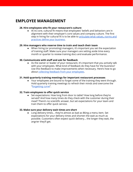## **EMPLOYEE MANAGEMENT**

#### **28. Hire employees who fit your restaurant's culture**

● At its core, cultural fit means that employees' beliefs and behaviors are in alignment with their employer's core values and company culture. The first step in hiring for cultural fit is to be able to [articulate](https://www.businessnewsdaily.com/6866-hiring-for-company-culture.html) what values, norms and [practices](https://www.businessnewsdaily.com/6866-hiring-for-company-culture.html) define your business.

#### **29. Hire managers who reserve time to train and teach their team**

● When hiring (or promoting) managers, it's important you set the expectation of training staff. Make sure your managers are setting aside time every month or quarter to review training docs and evaluate performance.

#### **30. Communicate with staff and ask for feedback**

● As the owner or leader of your restaurant, it's important that you actively talk with your employees. What kind of feedback do they have for the business? Use this feedback to make improvements when necessary. Here's how to go about collecting feedback from your [employees.](https://www.insperity.com/blog/how-to-get-eye-opening-feedback-from-your-employees/)

#### **31. Hold quarterly training meetings for important restaurant processes**

● Your employees are bound to forget some of the training they went through. Hold quarterly training meetings to refresh their minds and overcome the "[forgetting](https://sidsavara.com/the-ebbinghaus-curve-of-forgetting/) curve".

#### **32. Train employees to offer quick service**

● Set expectations: How long from door to table? How long before they're served? And how many times do they check with the customer during their meal? There's no scientific answer, but set expectations for your team and train them to offer quick service.

#### **33. Make sure your delivery wait times are short**

● Long delivery times... they're almost as bad as 86ing a menu item. Set expectations for your delivery times and shorten the wait as much as possible. Customers often expect quick delivery… the longer they wait, the angrier they'll get.